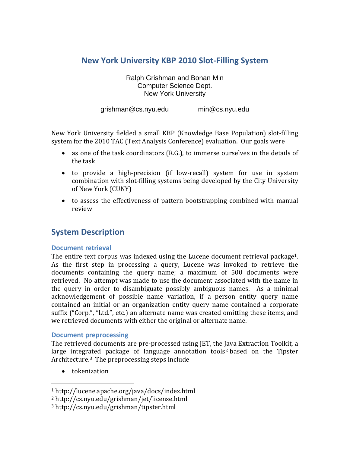# **New York University KBP 2010 Slot‐Filling System**

Ralph Grishman and Bonan Min Computer Science Dept. New York University

grishman@cs.nyu.edu min@cs.nyu.edu

New York University fielded a small KBP (Knowledge Base Population) slot‐filling system for the 2010 TAC (Text Analysis Conference) evaluation. Our goals were

- as one of the task coordinators (R.G.), to immerse ourselves in the details of the task
- to provide a high-precision (if low-recall) system for use in system combination with slot-filling systems being developed by the City University of New York (CUNY)
- to assess the effectiveness of pattern bootstrapping combined with manual review

# **System Description**

#### **Document retrieval**

The entire text corpus was indexed using the Lucene document retrieval package<sup>1</sup>. As the first step in processing a query, Lucene was invoked to retrieve the documents containing the query name; a maximum of 500 documents were retrieved. No attempt was made to use the document associated with the name in the query in order to disambiguate possibly ambiguous names. As a minimal acknowledgement of possible name variation, if a person entity query name contained an initial or an organization entity query name contained a corporate suffix ("Corp.", "Ltd.", etc.) an alternate name was created omitting these items, and we retrieved documents with either the original or alternate name.

#### **Document preprocessing**

The retrieved documents are pre‐processed using JET, the Java Extraction Toolkit, a large integrated package of language annotation tools<sup>2</sup> based on the Tipster Architecture.3 The preprocessing steps include

• tokenization

<sup>1</sup> http://lucene.apache.org/java/docs/index.html

<sup>2</sup> http://cs.nyu.edu/grishman/jet/license.html

<sup>3</sup> http://cs.nyu.edu/grishman/tipster.html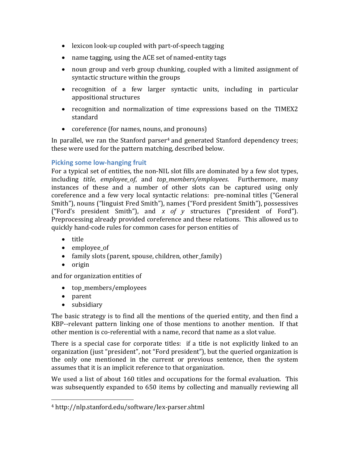- lexicon look-up coupled with part-of-speech tagging
- name tagging, using the ACE set of named-entity tags
- noun group and verb group chunking, coupled with a limited assignment of syntactic structure within the groups
- recognition of a few larger syntactic units, including in particular appositional structures
- recognition and normalization of time expressions based on the TIMEX2 standard
- coreference (for names, nouns, and pronouns)

In parallel, we ran the Stanford parser<sup>4</sup> and generated Stanford dependency trees; these were used for the pattern matching, described below.

### **Picking some low‐hanging fruit**

For a typical set of entities, the non-NIL slot fills are dominated by a few slot types, including *title*, *employee of*, and *top members/employees*. Furthermore, many instances of these and a number of other slots can be captured using only coreference and a few very local syntactic relations: pre-nominal titles ("General Smith"), nouns ("linguist Fred Smith"), names ("Ford president Smith"), possessives ("Ford's president Smith"), and *x of y* structures ("president of Ford"). Preprocessing already provided coreference and these relations. This allowed us to quickly hand‐code rules for common cases for person entities of

- title
- employee of
- family slots (parent, spouse, children, other\_family)
- origin

and for organization entities of

- top\_members/employees
- parent
- subsidiary

The basic strategy is to find all the mentions of the queried entity, and then find a KBP--relevant pattern linking one of those mentions to another mention. If that other mention is co-referential with a name, record that name as a slot value.

There is a special case for corporate titles: if a title is not explicitly linked to an organization (just "president", not "Ford president"), but the queried organization is the only one mentioned in the current or previous sentence, then the system assumes that it is an implicit reference to that organization.

We used a list of about 160 titles and occupations for the formal evaluation. This was subsequently expanded to 650 items by collecting and manually reviewing all

<sup>4</sup> http://nlp.stanford.edu/software/lex‐parser.shtml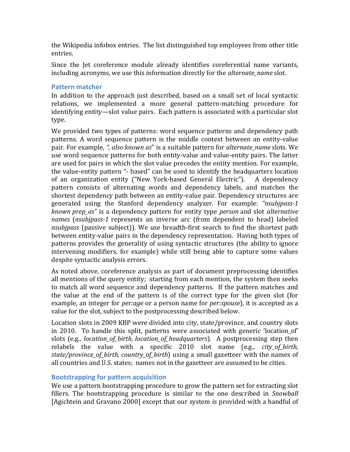the Wikipedia infobox entries. The list distinguished top employees from other title entries.

Since the Jet coreference module already identifies coreferential name variants, including acronyms, we use this information directly for the *alternate\_name* slot.

#### **Pattern matcher**

In addition to the approach just described, based on a small set of local syntactic relations, we implemented a more general pattern‐matching procedure for identifying entity—slot value pairs. Each pattern is associated with a particular slot type.

We provided two types of patterns: word sequence patterns and dependency path patterns. A word sequence pattern is the middle context between an entity-value pair. For example, *", also known as*" is a suitable pattern for *alternate\_name* slots*.* We use word sequence patterns for both entity‐value and value‐entity pairs. The latter are used for pairs in which the slot value precedes the entity mention. For example, the value‐entity pattern "‐ based" can be used to identify the headquarters location of an organization entity ("New York‐based General Electric"). A dependency pattern consists of alternating words and dependency labels, and matches the shortest dependency path between an entity‐value pair. Dependency structures are generated using the Stanford dependency analyzer. For example: *"nsubjpass1 known prep\_as"* is a dependency pattern for entity type *person* and slot *alternative names* (*nsubjpass1* represents an inverse arc (from dependent to head) labeled *nsubipass* (passive subject)). We use breadth-first search to find the shortest path between entity-value pairs in the dependency representation. Having both types of patterns provides the generality of using syntactic structures (the ability to ignore intervening modifiers, for example) while still being able to capture some values despite syntactic analysis errors.

As noted above, coreference analysis as part of document preprocessing identifies all mentions of the query entity; starting from each mention, the system then seeks to match all word sequence and dependency patterns. If the pattern matches and the value at the end of the pattern is of the correct type for the given slot (for example, an integer for *per:age* or a person name for *per:spouse*), it is accepted as a value for the slot, subject to the postprocessing described below.

Location slots in 2009 KBP were divided into city, state/province, and country slots in 2010. To handle this split, patterns were associated with generic 'location of' slots (e.g., *location\_of\_birth, location\_of\_headquarters*). A postprocessing step then relabels the value with a specific 2010 slot name (e.g., *city\_of\_birth, state/province\_of\_birth, country\_of\_birth*) using a small gazetteer with the names of all countries and U.S. states; names not in the gazetteer are assumed to be cities.

#### **Bootstrapping for pattern acquisition**

We use a pattern bootstrapping procedure to grow the pattern set for extracting slot fillers. The bootstrapping procedure is similar to the one described in *Snowball* [Agichtein and Gravano 2000] except that our system is provided with a handful of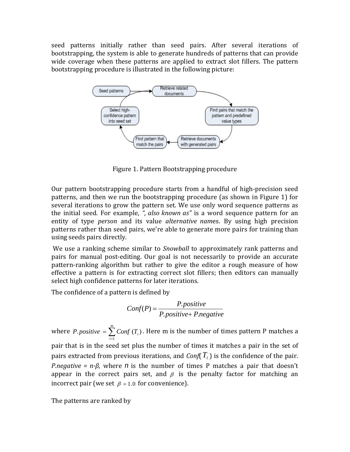seed patterns initially rather than seed pairs. After several iterations of bootstrapping, the system is able to generate hundreds of patterns that can provide wide coverage when these patterns are applied to extract slot fillers. The pattern bootstrapping procedure is illustrated in the following picture:



Figure 1. Pattern Bootstrapping procedure

Our pattern bootstrapping procedure starts from a handful of high-precision seed patterns, and then we run the bootstrapping procedure (as shown in Figure 1) for several iterations to grow the pattern set. We use only word sequence patterns as the initial seed. For example, *", also known as"* is a word sequence pattern for an entity of type *person* and its value *alternative nam*es. By using high precision patterns rather than seed pairs, we're able to generate more pairs for training than using seeds pairs directly.

We use a ranking scheme similar to *Snowball* to approximately rank patterns and pairs for manual post-editing. Our goal is not necessarily to provide an accurate pattern-ranking algorithm but rather to give the editor a rough measure of how effective a pattern is for extracting correct slot fillers; then editors can manually select high confidence patterns for later iterations.

The confidence of a pattern is defined by

$$
Conf(P) = \frac{P. positive}{P. positive + P. negative}
$$

where *P*.*positive* =  $\sum_{i=1}^{m}$ *i P*. positive  $=$   $\sum$  *Conf* ( $T_i$ 1 *positive* =  $\sum$  *Conf* (*T<sub>i</sub>*). Here m is the number of times pattern P matches a pair that is in the seed set plus the number of times it matches a pair in the set of pairs extracted from previous iterations, and  $Conf(T<sub>i</sub>)$  is the confidence of the pair. *P.negative* =  $n \cdot \beta$ , where *n* is the number of times P matches a pair that doesn't appear in the correct pairs set, and  $\beta$  is the penalty factor for matching an incorrect pair (we set  $\beta = 1.0$  for convenience).

The patterns are ranked by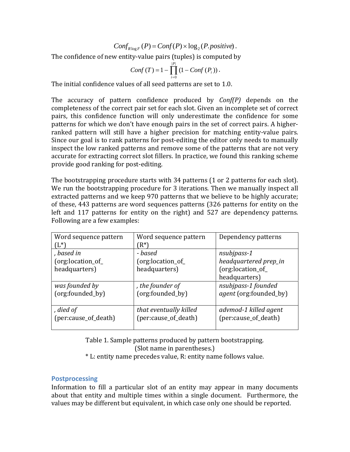$$
Conf_{R \log F}(P) = Conf(P) \times \log_2(P. positive).
$$

The confidence of new entity-value pairs (tuples) is computed by

$$
Conf(T) = 1 - \prod_{i=0}^{|P|} \left(1 - Conf(P_i)\right).
$$

The initial confidence values of all seed patterns are set to 1.0.

The accuracy of pattern confidence produced by *Conf(P)* depends on the completeness of the correct pair set for each slot. Given an incomplete set of correct pairs, this confidence function will only underestimate the confidence for some patterns for which we don't have enough pairs in the set of correct pairs. A higher‐ ranked pattern will still have a higher precision for matching entity-value pairs. Since our goal is to rank patterns for post-editing the editor only needs to manually inspect the low ranked patterns and remove some of the patterns that are not very accurate for extracting correct slot fillers. In practice, we found this ranking scheme provide good ranking for post‐editing.

The bootstrapping procedure starts with 34 patterns (1 or 2 patterns for each slot). We run the bootstrapping procedure for 3 iterations. Then we manually inspect all extracted patterns and we keep 970 patterns that we believe to be highly accurate; of these, 443 patterns are word sequences patterns (326 patterns for entity on the left and 117 patterns for entity on the right) and 527 are dependency patterns. Following are a few examples:

| Word sequence pattern | Word sequence pattern  | Dependency patterns                        |  |
|-----------------------|------------------------|--------------------------------------------|--|
| (L*`                  | $(R^*)$                |                                            |  |
| , based in            | - based                | nsubjpass-1                                |  |
| (org:location_of_     | (org:location_of_      | headquartered prep_in<br>(org:location_of_ |  |
| headquarters)         | headquarters)          |                                            |  |
|                       |                        | headquarters)                              |  |
| was founded by        | , the founder of       | nsubjpass-1 founded                        |  |
| (org:founded_by)      | (org:founded_by)       | <i>agent</i> (org:founded_by)              |  |
|                       |                        |                                            |  |
| , died of             | that eventually killed | advmod-1 killed agent                      |  |
| (per:cause_of_death)  | (per:cause_of_death)   | (per:cause_of_death)                       |  |
|                       |                        |                                            |  |

Table 1. Sample patterns produced by pattern bootstrapping. (Slot name in parentheses.) \* L: entity name precedes value, R: entity name follows value.

#### **Postprocessing**

Information to fill a particular slot of an entity may appear in many documents about that entity and multiple times within a single document. Furthermore, the values may be different but equivalent, in which case only one should be reported.